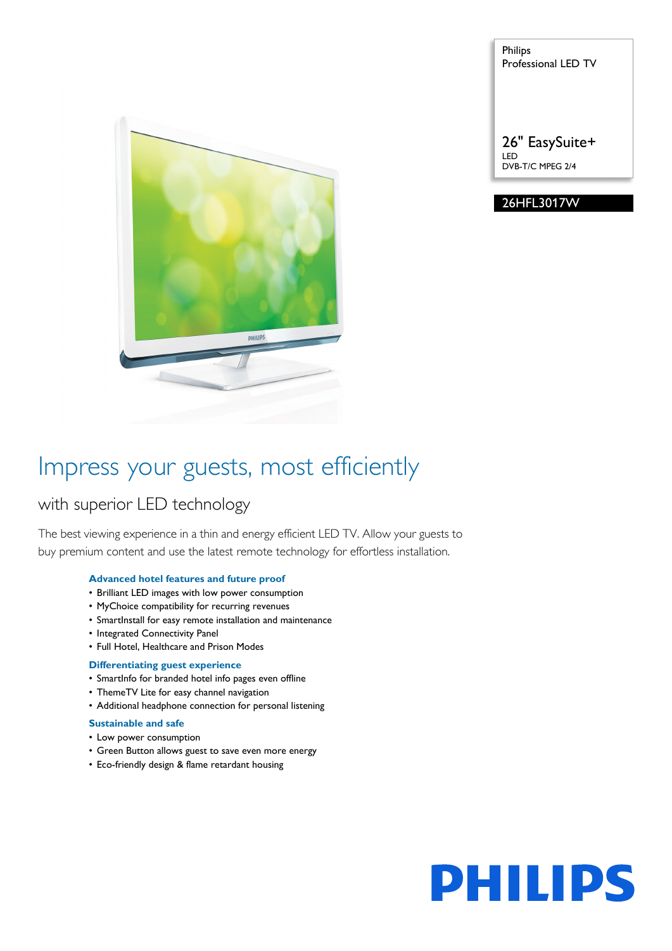

Philips Professional LED TV

26" EasySuite+ LED DVB-T/C MPEG 2/4

#### 26HFL3017W

### Impress your guests, most efficiently

### with superior LED technology

The best viewing experience in a thin and energy efficient LED TV. Allow your guests to buy premium content and use the latest remote technology for effortless installation.

#### **Advanced hotel features and future proof**

- Brilliant LED images with low power consumption
- MyChoice compatibility for recurring revenues
- SmartInstall for easy remote installation and maintenance
- Integrated Connectivity Panel
- Full Hotel, Healthcare and Prison Modes

#### **Differentiating guest experience**

- SmartInfo for branded hotel info pages even offline
- ThemeTV Lite for easy channel navigation
- Additional headphone connection for personal listening

#### **Sustainable and safe**

- Low power consumption
- Green Button allows guest to save even more energy
- Eco-friendly design & flame retardant housing

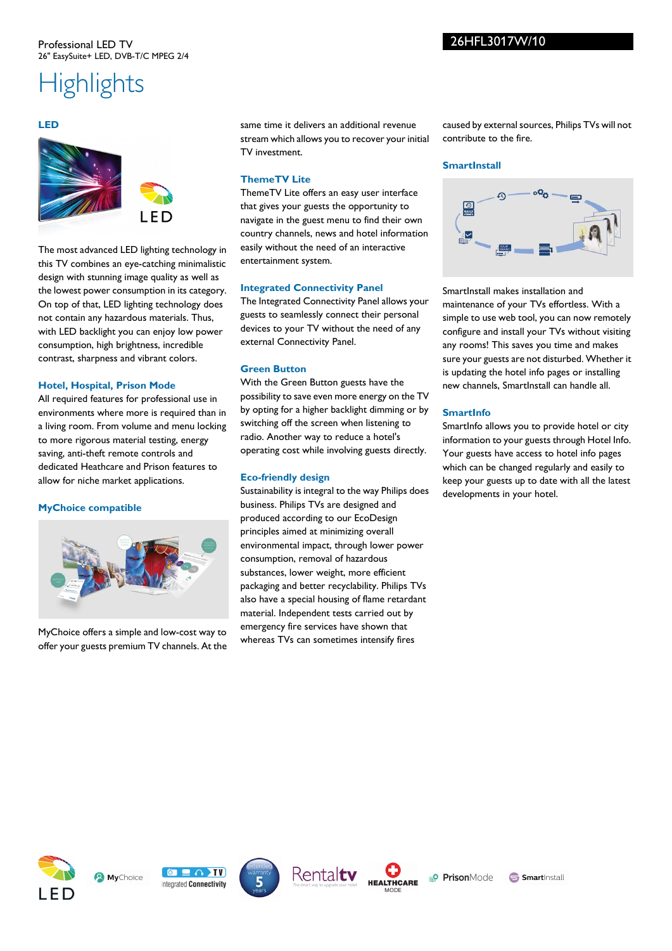#### Professional LED TV 26" EasySuite+ LED, DVB-T/C MPEG 2/4

## **Highlights**

#### **LED**



The most advanced LED lighting technology in this TV combines an eye-catching minimalistic design with stunning image quality as well as the lowest power consumption in its category. On top of that, LED lighting technology does not contain any hazardous materials. Thus, with LED backlight you can enjoy low power consumption, high brightness, incredible contrast, sharpness and vibrant colors.

#### **Hotel, Hospital, Prison Mode**

All required features for professional use in environments where more is required than in a living room. From volume and menu locking to more rigorous material testing, energy saving, anti-theft remote controls and dedicated Heathcare and Prison features to allow for niche market applications.

#### **MyChoice compatible**



MyChoice offers a simple and low-cost way to offer your guests premium TV channels. At the same time it delivers an additional revenue stream which allows you to recover your initial TV investment.

#### **ThemeTV Lite**

ThemeTV Lite offers an easy user interface that gives your guests the opportunity to navigate in the guest menu to find their own country channels, news and hotel information easily without the need of an interactive entertainment system.

#### **Integrated Connectivity Panel**

The Integrated Connectivity Panel allows your guests to seamlessly connect their personal devices to your TV without the need of any external Connectivity Panel.

#### **Green Button**

With the Green Button guests have the possibility to save even more energy on the TV by opting for a higher backlight dimming or by switching off the screen when listening to radio. Another way to reduce a hotel's operating cost while involving guests directly.

#### **Eco-friendly design**

Sustainability is integral to the way Philips does business. Philips TVs are designed and produced according to our EcoDesign principles aimed at minimizing overall environmental impact, through lower power consumption, removal of hazardous substances, lower weight, more efficient packaging and better recyclability. Philips TVs also have a special housing of flame retardant material. Independent tests carried out by emergency fire services have shown that whereas TVs can sometimes intensify fires

caused by external sources, Philips TVs will not contribute to the fire.

#### **SmartInstall**



SmartInstall makes installation and maintenance of your TVs effortless. With a simple to use web tool, you can now remotely configure and install your TVs without visiting any rooms! This saves you time and makes sure your guests are not disturbed. Whether it is updating the hotel info pages or installing new channels, SmartInstall can handle all.

#### **SmartInfo**

SmartInfo allows you to provide hotel or city information to your guests through Hotel Info. Your guests have access to hotel info pages which can be changed regularly and easily to keep your guests up to date with all the latest developments in your hotel.











**Smart**Install

26HFL3017W/10